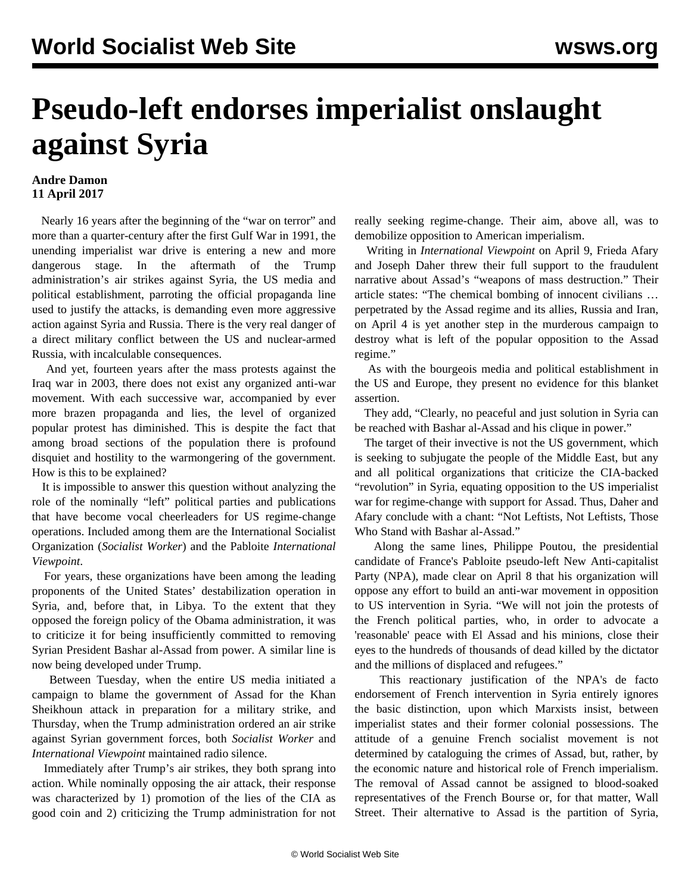## **Pseudo-left endorses imperialist onslaught against Syria**

## **Andre Damon 11 April 2017**

 Nearly 16 years after the beginning of the "war on terror" and more than a quarter-century after the first Gulf War in 1991, the unending imperialist war drive is entering a new and more dangerous stage. In the aftermath of the Trump administration's air strikes against Syria, the US media and political establishment, parroting the official propaganda line used to justify the attacks, is demanding even more aggressive action against Syria and Russia. There is the very real danger of a direct military conflict between the US and nuclear-armed Russia, with incalculable consequences.

 And yet, fourteen years after the mass protests against the Iraq war in 2003, there does not exist any organized anti-war movement. With each successive war, accompanied by ever more brazen propaganda and lies, the level of organized popular protest has diminished. This is despite the fact that among broad sections of the population there is profound disquiet and hostility to the warmongering of the government. How is this to be explained?

 It is impossible to answer this question without analyzing the role of the nominally "left" political parties and publications that have become vocal cheerleaders for US regime-change operations. Included among them are the International Socialist Organization (*Socialist Worker*) and the Pabloite *International Viewpoint*.

 For years, these organizations have been among the leading proponents of the United States' destabilization operation in Syria, and, before that, in Libya. To the extent that they opposed the foreign policy of the Obama administration, it was to criticize it for being insufficiently committed to removing Syrian President Bashar al-Assad from power. A similar line is now being developed under Trump.

 Between Tuesday, when the entire US media initiated a campaign to blame the government of Assad for the Khan Sheikhoun attack in preparation for a military strike, and Thursday, when the Trump administration ordered an air strike against Syrian government forces, both *Socialist Worker* and *International Viewpoint* maintained radio silence.

 Immediately after Trump's air strikes, they both sprang into action. While nominally opposing the air attack, their response was characterized by 1) promotion of the lies of the CIA as good coin and 2) criticizing the Trump administration for not really seeking regime-change. Their aim, above all, was to demobilize opposition to American imperialism.

 Writing in *International Viewpoint* on April 9, Frieda Afary and Joseph Daher threw their full support to the fraudulent narrative about Assad's "weapons of mass destruction." Their article states: "The chemical bombing of innocent civilians … perpetrated by the Assad regime and its allies, Russia and Iran, on April 4 is yet another step in the murderous campaign to destroy what is left of the popular opposition to the Assad regime."

 As with the bourgeois media and political establishment in the US and Europe, they present no evidence for this blanket assertion.

 They add, "Clearly, no peaceful and just solution in Syria can be reached with Bashar al-Assad and his clique in power."

 The target of their invective is not the US government, which is seeking to subjugate the people of the Middle East, but any and all political organizations that criticize the CIA-backed "revolution" in Syria, equating opposition to the US imperialist war for regime-change with support for Assad. Thus, Daher and Afary conclude with a chant: "Not Leftists, Not Leftists, Those Who Stand with Bashar al-Assad."

 Along the same lines, Philippe Poutou, the presidential candidate of France's Pabloite pseudo-left New Anti-capitalist Party (NPA), made clear on April 8 that his organization will oppose any effort to build an anti-war movement in opposition to US intervention in Syria. "We will not join the protests of the French political parties, who, in order to advocate a 'reasonable' peace with El Assad and his minions, close their eyes to the hundreds of thousands of dead killed by the dictator and the millions of displaced and refugees."

 This reactionary justification of the NPA's de facto endorsement of French intervention in Syria entirely ignores the basic distinction, upon which Marxists insist, between imperialist states and their former colonial possessions. The attitude of a genuine French socialist movement is not determined by cataloguing the crimes of Assad, but, rather, by the economic nature and historical role of French imperialism. The removal of Assad cannot be assigned to blood-soaked representatives of the French Bourse or, for that matter, Wall Street. Their alternative to Assad is the partition of Syria,